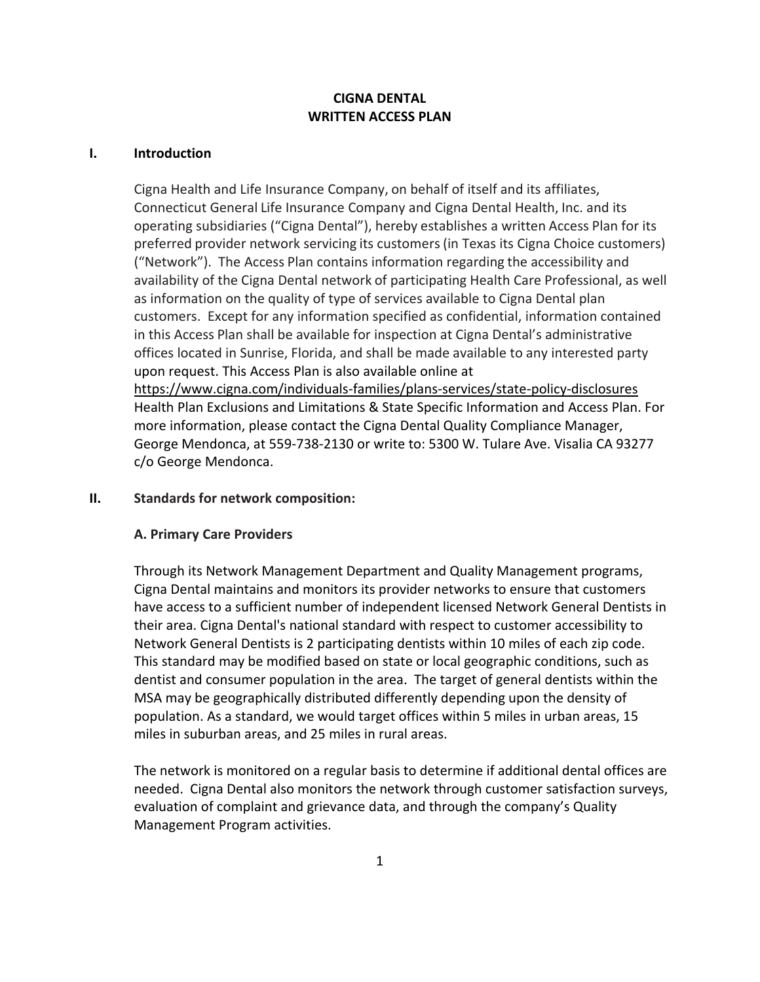#### **CIGNA DENTAL WRITTEN ACCESS PLAN**

#### **I. Introduction**

Cigna Health and Life Insurance Company, on behalf of itself and its affiliates, Connecticut General Life Insurance Company and Cigna Dental Health, Inc. and its operating subsidiaries ("Cigna Dental"), hereby establishes a written Access Plan for its preferred provider network servicing its customers (in Texas its Cigna Choice customers) ("Network"). The Access Plan contains information regarding the accessibility and availability of the Cigna Dental network of participating Health Care Professional, as well as information on the quality of type of services available to Cigna Dental plan customers. Except for any information specified as confidential, information contained in this Access Plan shall be available for inspection at Cigna Dental's administrative offices located in Sunrise, Florida, and shall be made available to any interested party upon request. This Access Plan is also available online at https://www.cigna.com/individuals‐families/plans‐services/state‐policy‐disclosures Health Plan Exclusions and Limitations & State Specific Information and Access Plan. For more information, please contact the Cigna Dental Quality Compliance Manager, George Mendonca, at 559‐738‐2130 or write to: 5300 W. Tulare Ave. Visalia CA 93277 c/o George Mendonca.

#### **II. Standards for network composition:**

#### **A. Primary Care Providers**

Through its Network Management Department and Quality Management programs, Cigna Dental maintains and monitors its provider networks to ensure that customers have access to a sufficient number of independent licensed Network General Dentists in their area. Cigna Dental's national standard with respect to customer accessibility to Network General Dentists is 2 participating dentists within 10 miles of each zip code. This standard may be modified based on state or local geographic conditions, such as dentist and consumer population in the area. The target of general dentists within the MSA may be geographically distributed differently depending upon the density of population. As a standard, we would target offices within 5 miles in urban areas, 15 miles in suburban areas, and 25 miles in rural areas.

The network is monitored on a regular basis to determine if additional dental offices are needed. Cigna Dental also monitors the network through customer satisfaction surveys, evaluation of complaint and grievance data, and through the company's Quality Management Program activities.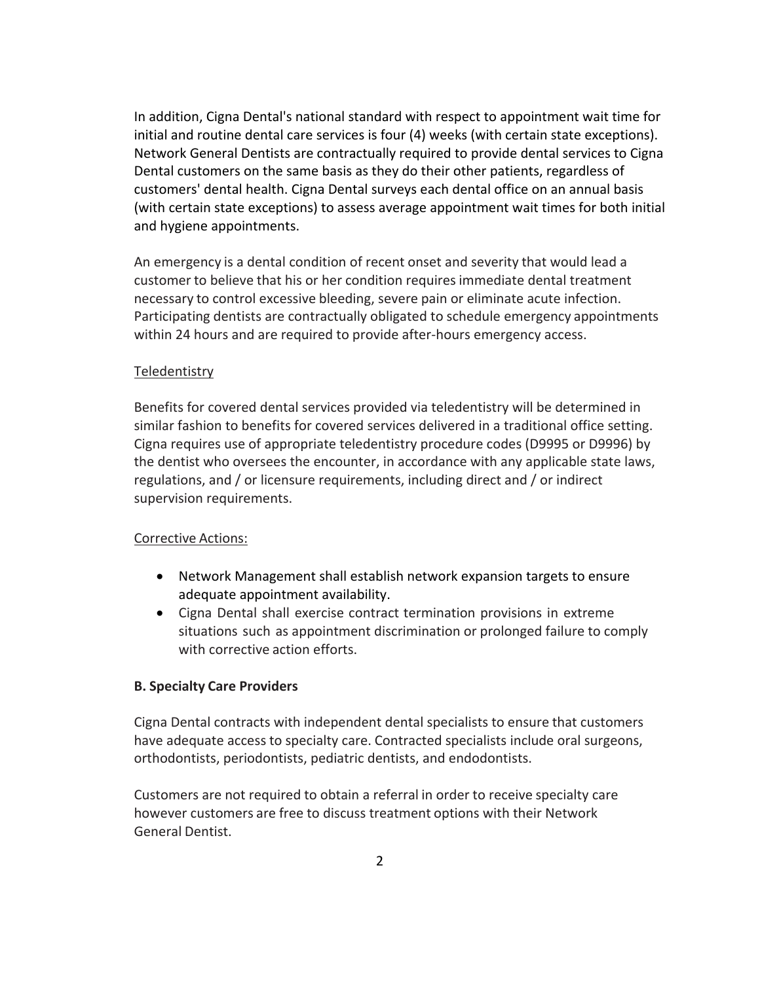In addition, Cigna Dental's national standard with respect to appointment wait time for initial and routine dental care services is four (4) weeks (with certain state exceptions). Network General Dentists are contractually required to provide dental services to Cigna Dental customers on the same basis as they do their other patients, regardless of customers' dental health. Cigna Dental surveys each dental office on an annual basis (with certain state exceptions) to assess average appointment wait times for both initial and hygiene appointments.

An emergency is a dental condition of recent onset and severity that would lead a customer to believe that his or her condition requires immediate dental treatment necessary to control excessive bleeding, severe pain or eliminate acute infection. Participating dentists are contractually obligated to schedule emergency appointments within 24 hours and are required to provide after-hours emergency access.

#### Teledentistry

Benefits for covered dental services provided via teledentistry will be determined in similar fashion to benefits for covered services delivered in a traditional office setting. Cigna requires use of appropriate teledentistry procedure codes (D9995 or D9996) by the dentist who oversees the encounter, in accordance with any applicable state laws, regulations, and / or licensure requirements, including direct and / or indirect supervision requirements.

#### Corrective Actions:

- Network Management shall establish network expansion targets to ensure adequate appointment availability.
- Cigna Dental shall exercise contract termination provisions in extreme situations such as appointment discrimination or prolonged failure to comply with corrective action efforts.

#### **B. Specialty Care Providers**

Cigna Dental contracts with independent dental specialists to ensure that customers have adequate access to specialty care. Contracted specialists include oral surgeons, orthodontists, periodontists, pediatric dentists, and endodontists.

Customers are not required to obtain a referral in order to receive specialty care however customers are free to discuss treatment options with their Network General Dentist.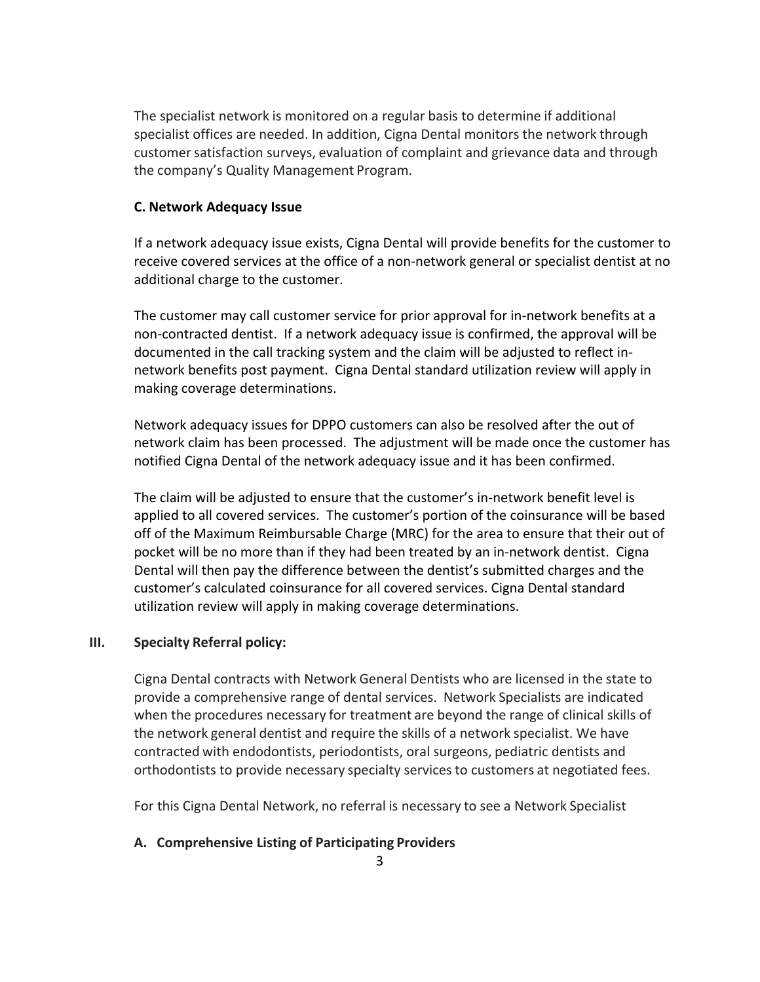The specialist network is monitored on a regular basis to determine if additional specialist offices are needed. In addition, Cigna Dental monitors the network through customer satisfaction surveys, evaluation of complaint and grievance data and through the company's Quality Management Program.

#### **C. Network Adequacy Issue**

If a network adequacy issue exists, Cigna Dental will provide benefits for the customer to receive covered services at the office of a non‐network general or specialist dentist at no additional charge to the customer.

The customer may call customer service for prior approval for in‐network benefits at a non‐contracted dentist. If a network adequacy issue is confirmed, the approval will be documented in the call tracking system and the claim will be adjusted to reflect in‐ network benefits post payment. Cigna Dental standard utilization review will apply in making coverage determinations.

Network adequacy issues for DPPO customers can also be resolved after the out of network claim has been processed. The adjustment will be made once the customer has notified Cigna Dental of the network adequacy issue and it has been confirmed.

The claim will be adjusted to ensure that the customer's in‐network benefit level is applied to all covered services. The customer's portion of the coinsurance will be based off of the Maximum Reimbursable Charge (MRC) for the area to ensure that their out of pocket will be no more than if they had been treated by an in‐network dentist. Cigna Dental will then pay the difference between the dentist's submitted charges and the customer's calculated coinsurance for all covered services. Cigna Dental standard utilization review will apply in making coverage determinations.

#### **III. Specialty Referral policy:**

Cigna Dental contracts with Network General Dentists who are licensed in the state to provide a comprehensive range of dental services. Network Specialists are indicated when the procedures necessary for treatment are beyond the range of clinical skills of the network general dentist and require the skills of a network specialist. We have contracted with endodontists, periodontists, oral surgeons, pediatric dentists and orthodontists to provide necessary specialty services to customers at negotiated fees.

For this Cigna Dental Network, no referral is necessary to see a Network Specialist

#### **A. Comprehensive Listing of Participating Providers**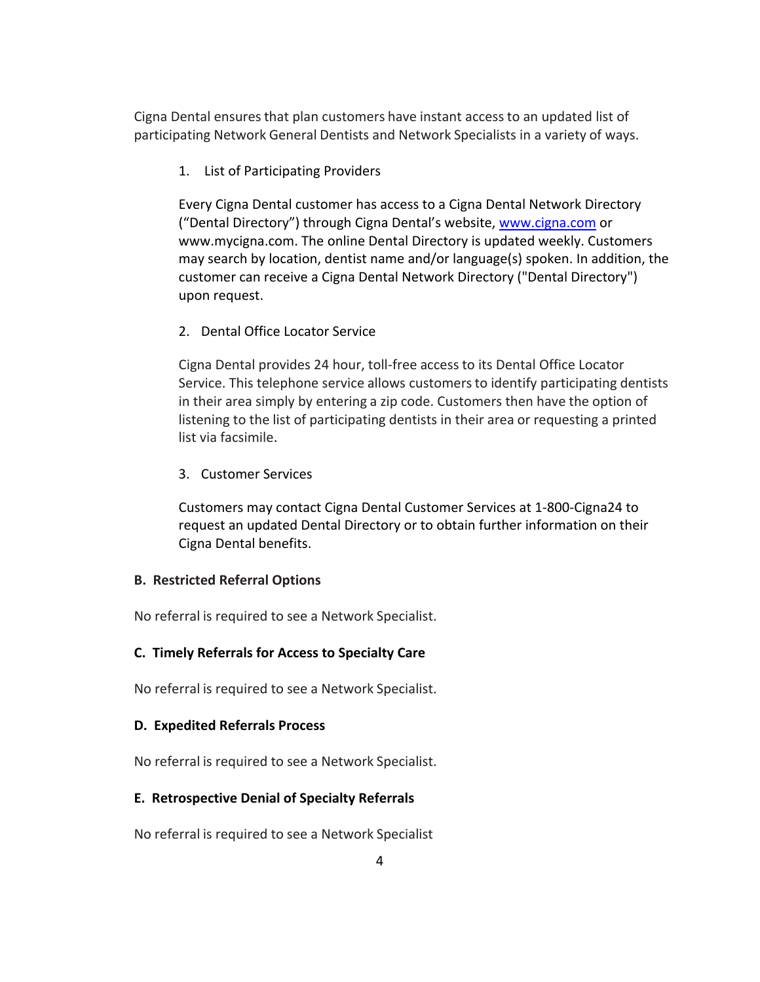Cigna Dental ensures that plan customers have instant access to an updated list of participating Network General Dentists and Network Specialists in a variety of ways.

1. List of Participating Providers

Every Cigna Dental customer has access to a Cigna Dental Network Directory ("Dental Directory") through Cigna Dental's website, www.cigna.com or www.mycigna.com. The online Dental Directory is updated weekly. Customers may search by location, dentist name and/or language(s) spoken. In addition, the customer can receive a Cigna Dental Network Directory ("Dental Directory") upon request.

2. Dental Office Locator Service

Cigna Dental provides 24 hour, toll‐free access to its Dental Office Locator Service. This telephone service allows customers to identify participating dentists in their area simply by entering a zip code. Customers then have the option of listening to the list of participating dentists in their area or requesting a printed list via facsimile.

3. Customer Services

Customers may contact Cigna Dental Customer Services at 1‐800‐Cigna24 to request an updated Dental Directory or to obtain further information on their Cigna Dental benefits.

#### **B. Restricted Referral Options**

No referral is required to see a Network Specialist.

#### **C. Timely Referrals for Access to Specialty Care**

No referral is required to see a Network Specialist.

#### **D. Expedited Referrals Process**

No referral is required to see a Network Specialist.

#### **E. Retrospective Denial of Specialty Referrals**

No referral is required to see a Network Specialist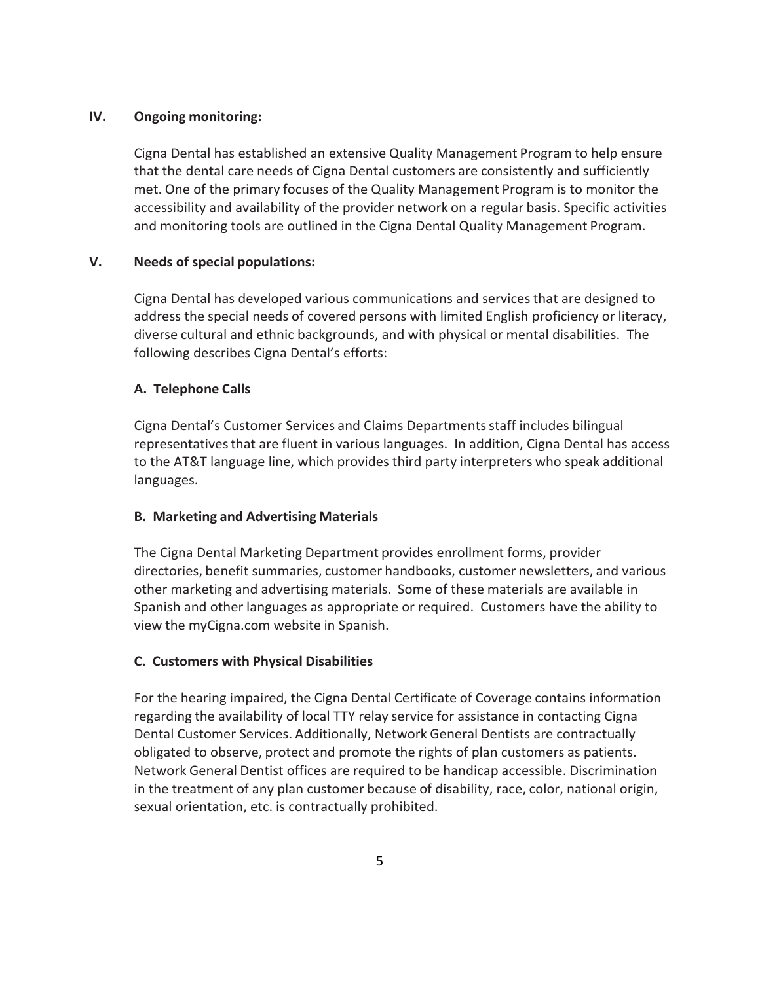#### **IV. Ongoing monitoring:**

Cigna Dental has established an extensive Quality Management Program to help ensure that the dental care needs of Cigna Dental customers are consistently and sufficiently met. One of the primary focuses of the Quality Management Program is to monitor the accessibility and availability of the provider network on a regular basis. Specific activities and monitoring tools are outlined in the Cigna Dental Quality Management Program.

#### **V. Needs of special populations:**

Cigna Dental has developed various communications and services that are designed to address the special needs of covered persons with limited English proficiency or literacy, diverse cultural and ethnic backgrounds, and with physical or mental disabilities. The following describes Cigna Dental's efforts:

#### **A. Telephone Calls**

Cigna Dental's Customer Services and Claims Departments staff includes bilingual representatives that are fluent in various languages. In addition, Cigna Dental has access to the AT&T language line, which provides third party interpreters who speak additional languages.

#### **B. Marketing and Advertising Materials**

The Cigna Dental Marketing Department provides enrollment forms, provider directories, benefit summaries, customer handbooks, customer newsletters, and various other marketing and advertising materials. Some of these materials are available in Spanish and other languages as appropriate or required. Customers have the ability to view the myCigna.com website in Spanish.

#### **C. Customers with Physical Disabilities**

For the hearing impaired, the Cigna Dental Certificate of Coverage contains information regarding the availability of local TTY relay service for assistance in contacting Cigna Dental Customer Services. Additionally, Network General Dentists are contractually obligated to observe, protect and promote the rights of plan customers as patients. Network General Dentist offices are required to be handicap accessible. Discrimination in the treatment of any plan customer because of disability, race, color, national origin, sexual orientation, etc. is contractually prohibited.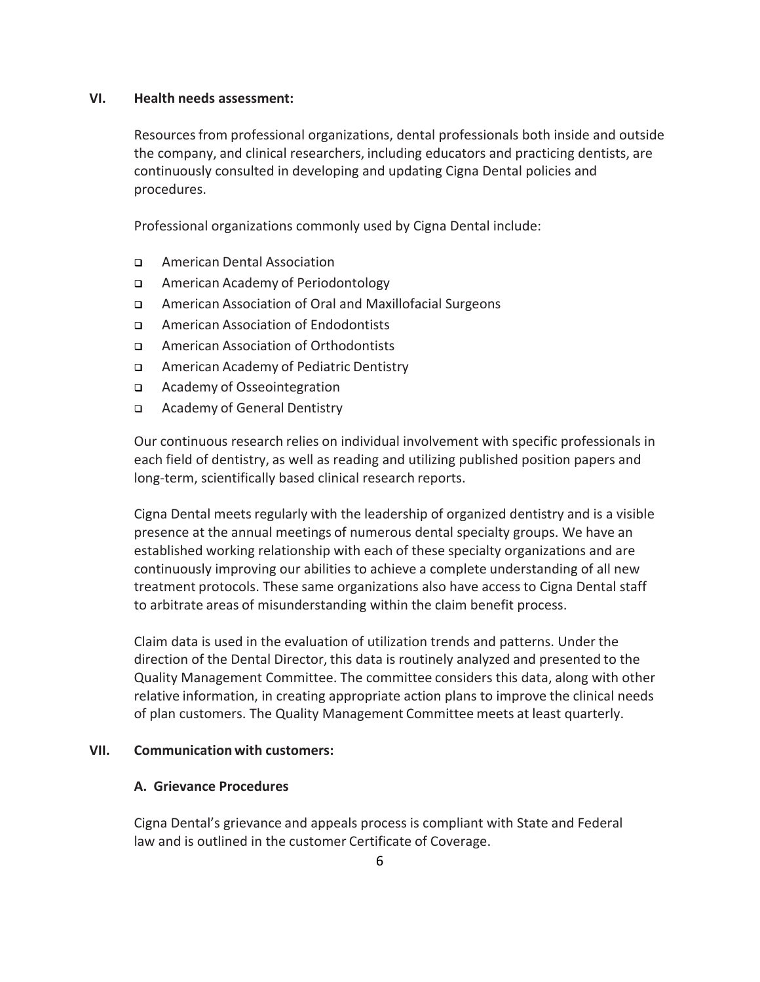#### **VI. Health needs assessment:**

Resources from professional organizations, dental professionals both inside and outside the company, and clinical researchers, including educators and practicing dentists, are continuously consulted in developing and updating Cigna Dental policies and procedures.

Professional organizations commonly used by Cigna Dental include:

- American Dental Association
- American Academy of Periodontology
- American Association of Oral and Maxillofacial Surgeons
- □ American Association of Endodontists
- American Association of Orthodontists
- American Academy of Pediatric Dentistry
- Academy of Osseointegration
- □ Academy of General Dentistry

Our continuous research relies on individual involvement with specific professionals in each field of dentistry, as well as reading and utilizing published position papers and long-term, scientifically based clinical research reports.

Cigna Dental meets regularly with the leadership of organized dentistry and is a visible presence at the annual meetings of numerous dental specialty groups. We have an established working relationship with each of these specialty organizations and are continuously improving our abilities to achieve a complete understanding of all new treatment protocols. These same organizations also have access to Cigna Dental staff to arbitrate areas of misunderstanding within the claim benefit process.

Claim data is used in the evaluation of utilization trends and patterns. Under the direction of the Dental Director, this data is routinely analyzed and presented to the Quality Management Committee. The committee considers this data, along with other relative information, in creating appropriate action plans to improve the clinical needs of plan customers. The Quality Management Committee meets at least quarterly.

#### **VII. Communication with customers:**

#### **A. Grievance Procedures**

Cigna Dental's grievance and appeals process is compliant with State and Federal law and is outlined in the customer Certificate of Coverage.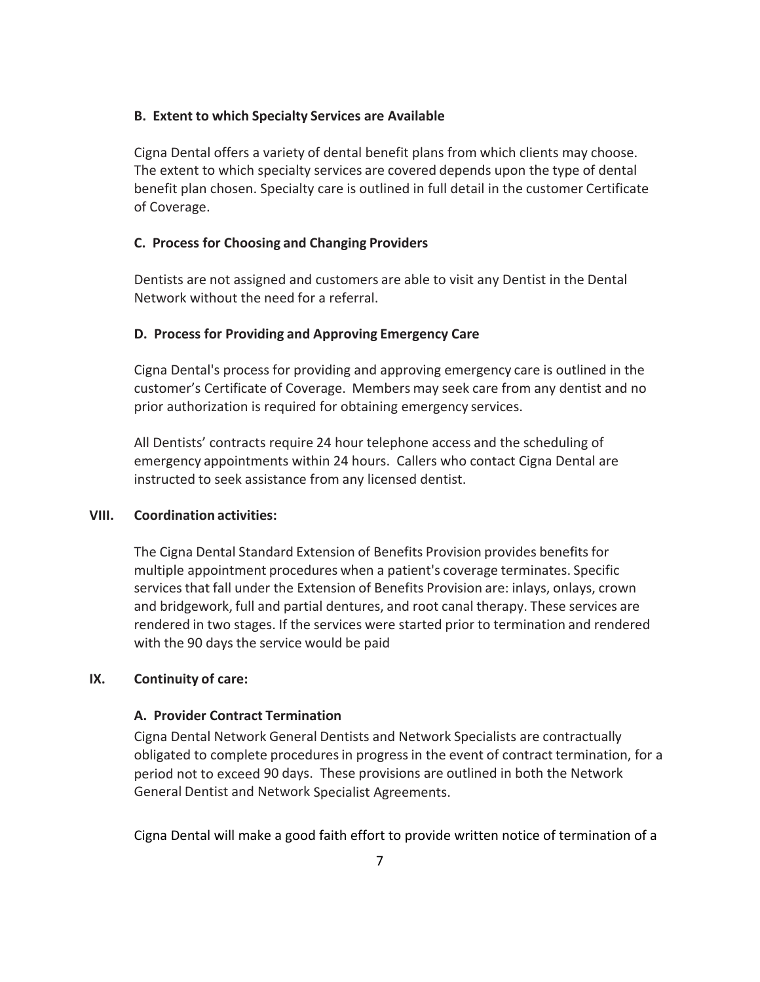#### **B. Extent to which Specialty Services are Available**

Cigna Dental offers a variety of dental benefit plans from which clients may choose. The extent to which specialty services are covered depends upon the type of dental benefit plan chosen. Specialty care is outlined in full detail in the customer Certificate of Coverage.

#### **C. Process for Choosing and Changing Providers**

Dentists are not assigned and customers are able to visit any Dentist in the Dental Network without the need for a referral.

#### **D. Process for Providing and Approving Emergency Care**

Cigna Dental's process for providing and approving emergency care is outlined in the customer's Certificate of Coverage. Members may seek care from any dentist and no prior authorization is required for obtaining emergency services.

All Dentists' contracts require 24 hour telephone access and the scheduling of emergency appointments within 24 hours. Callers who contact Cigna Dental are instructed to seek assistance from any licensed dentist.

#### **VIII. Coordination activities:**

The Cigna Dental Standard Extension of Benefits Provision provides benefits for multiple appointment procedures when a patient's coverage terminates. Specific services that fall under the Extension of Benefits Provision are: inlays, onlays, crown and bridgework, full and partial dentures, and root canal therapy. These services are rendered in two stages. If the services were started prior to termination and rendered with the 90 days the service would be paid

#### **IX. Continuity of care:**

#### **A. Provider Contract Termination**

Cigna Dental Network General Dentists and Network Specialists are contractually obligated to complete procedures in progress in the event of contract termination, for a period not to exceed 90 days. These provisions are outlined in both the Network General Dentist and Network Specialist Agreements.

Cigna Dental will make a good faith effort to provide written notice of termination of a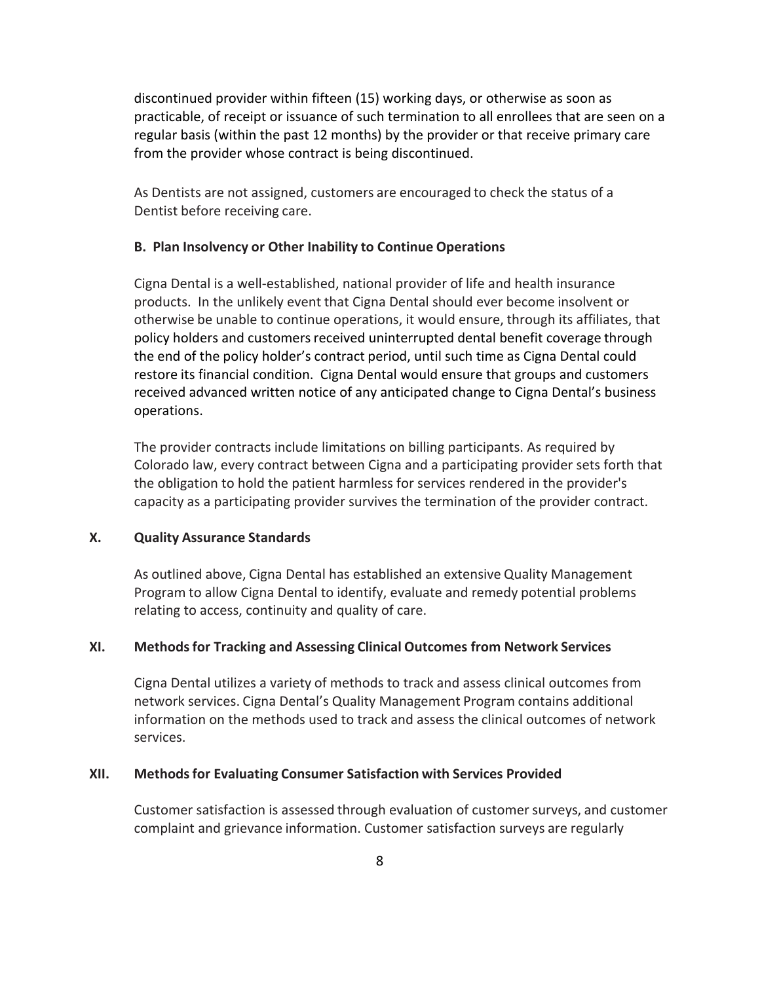discontinued provider within fifteen (15) working days, or otherwise as soon as practicable, of receipt or issuance of such termination to all enrollees that are seen on a regular basis (within the past 12 months) by the provider or that receive primary care from the provider whose contract is being discontinued.

As Dentists are not assigned, customers are encouraged to check the status of a Dentist before receiving care.

#### **B. Plan Insolvency or Other Inability to Continue Operations**

Cigna Dental is a well‐established, national provider of life and health insurance products. In the unlikely event that Cigna Dental should ever become insolvent or otherwise be unable to continue operations, it would ensure, through its affiliates, that policy holders and customers received uninterrupted dental benefit coverage through the end of the policy holder's contract period, until such time as Cigna Dental could restore its financial condition. Cigna Dental would ensure that groups and customers received advanced written notice of any anticipated change to Cigna Dental's business operations.

The provider contracts include limitations on billing participants. As required by Colorado law, every contract between Cigna and a participating provider sets forth that the obligation to hold the patient harmless for services rendered in the provider's capacity as a participating provider survives the termination of the provider contract.

#### **X. Quality Assurance Standards**

As outlined above, Cigna Dental has established an extensive Quality Management Program to allow Cigna Dental to identify, evaluate and remedy potential problems relating to access, continuity and quality of care.

#### **XI. Methods for Tracking and Assessing Clinical Outcomes from Network Services**

Cigna Dental utilizes a variety of methods to track and assess clinical outcomes from network services. Cigna Dental's Quality Management Program contains additional information on the methods used to track and assess the clinical outcomes of network services.

#### **XII. Methods for Evaluating Consumer Satisfaction with Services Provided**

Customer satisfaction is assessed through evaluation of customer surveys, and customer complaint and grievance information. Customer satisfaction surveys are regularly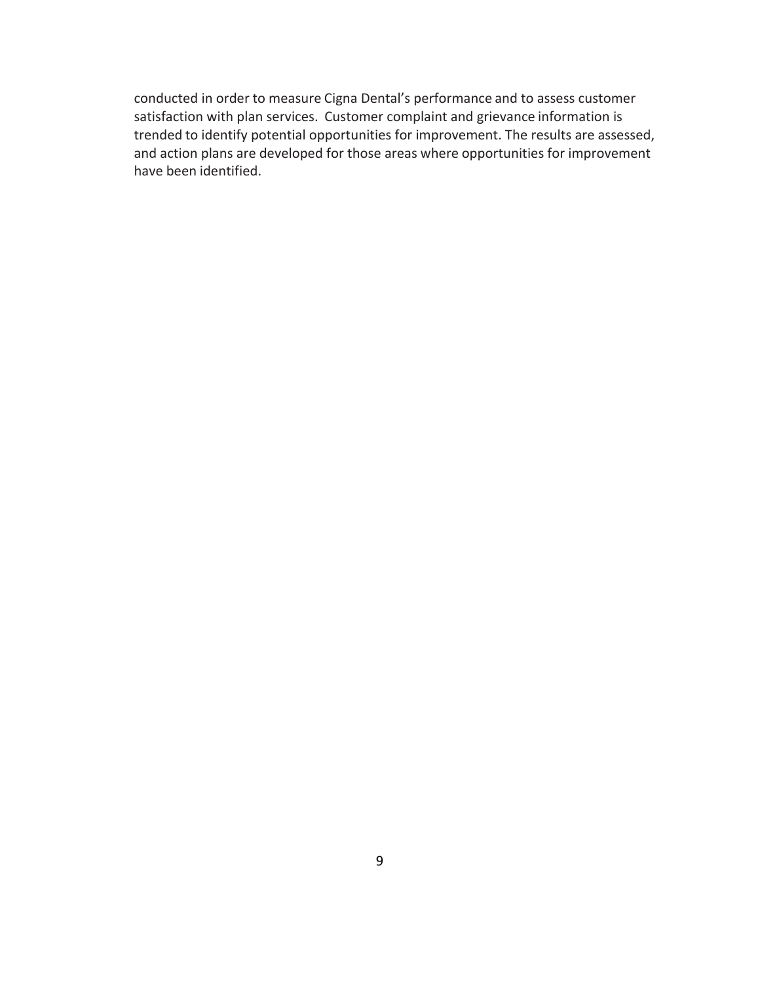conducted in order to measure Cigna Dental's performance and to assess customer satisfaction with plan services. Customer complaint and grievance information is trended to identify potential opportunities for improvement. The results are assessed, and action plans are developed for those areas where opportunities for improvement have been identified.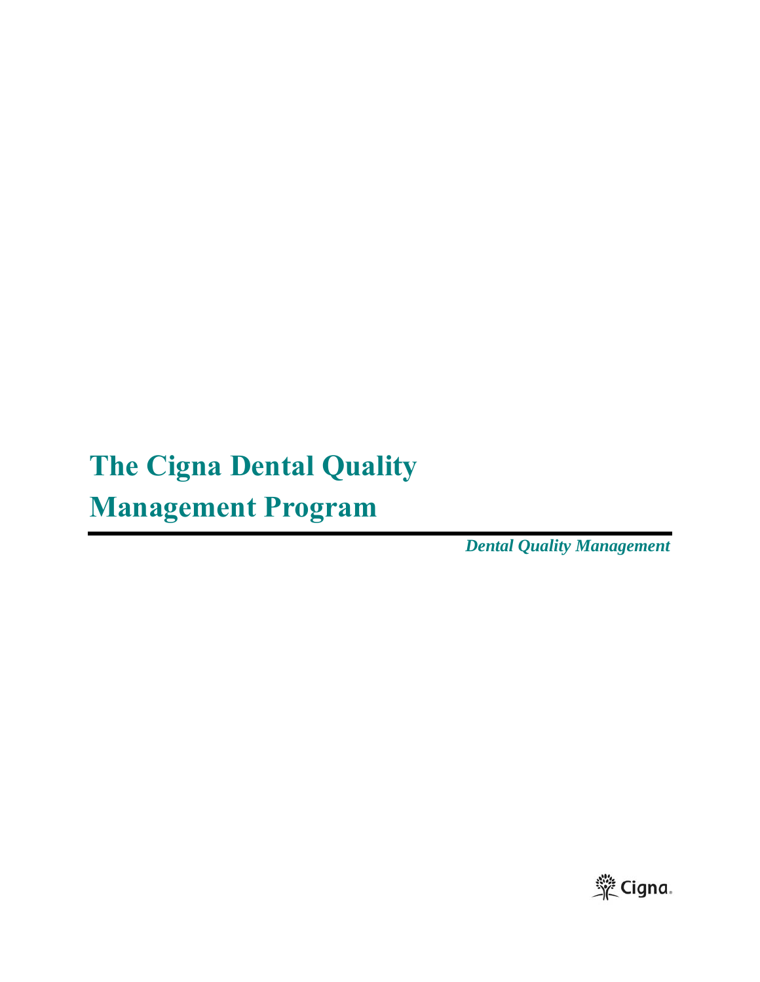# **The Cigna Dental Quality**

## **Management Program**

*Dental Quality Management* 

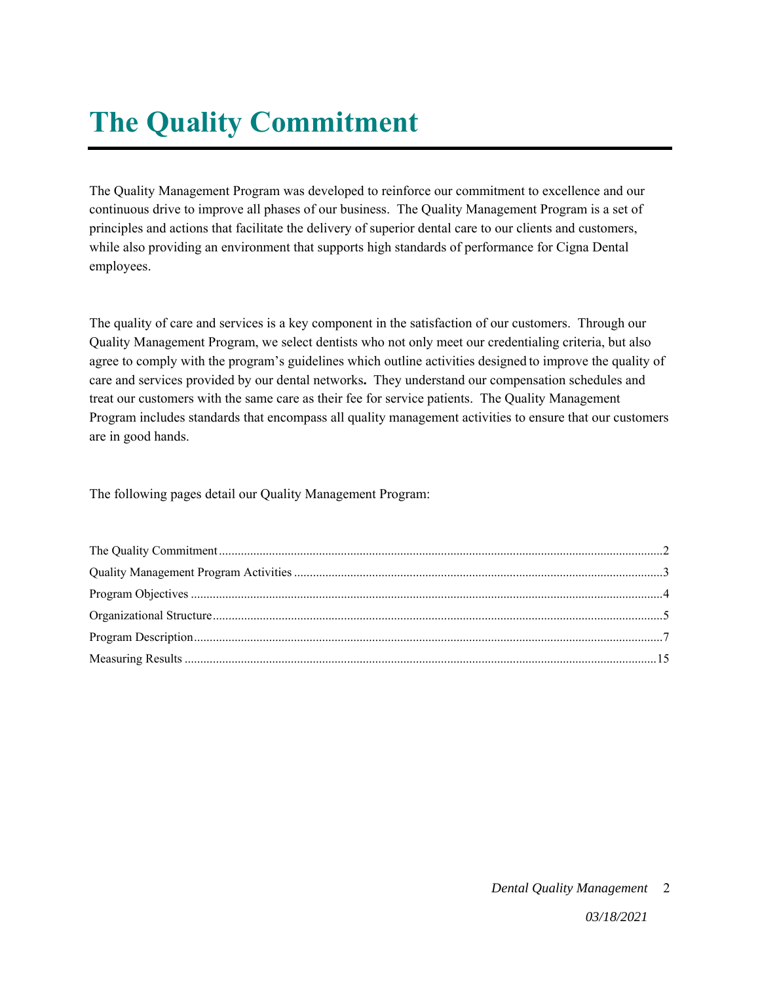# **The Quality Commitment**

The Quality Management Program was developed to reinforce our commitment to excellence and our continuous drive to improve all phases of our business. The Quality Management Program is a set of principles and actions that facilitate the delivery of superior dental care to our clients and customers, while also providing an environment that supports high standards of performance for Cigna Dental employees.

The quality of care and services is a key component in the satisfaction of our customers. Through our Quality Management Program, we select dentists who not only meet our credentialing criteria, but also agree to comply with the program's guidelines which outline activities designed to improve the quality of care and services provided by our dental networks**.** They understand our compensation schedules and treat our customers with the same care as their fee for service patients. The Quality Management Program includes standards that encompass all quality management activities to ensure that our customers are in good hands.

The following pages detail our Quality Management Program:

#### *Dental Quality Management*  2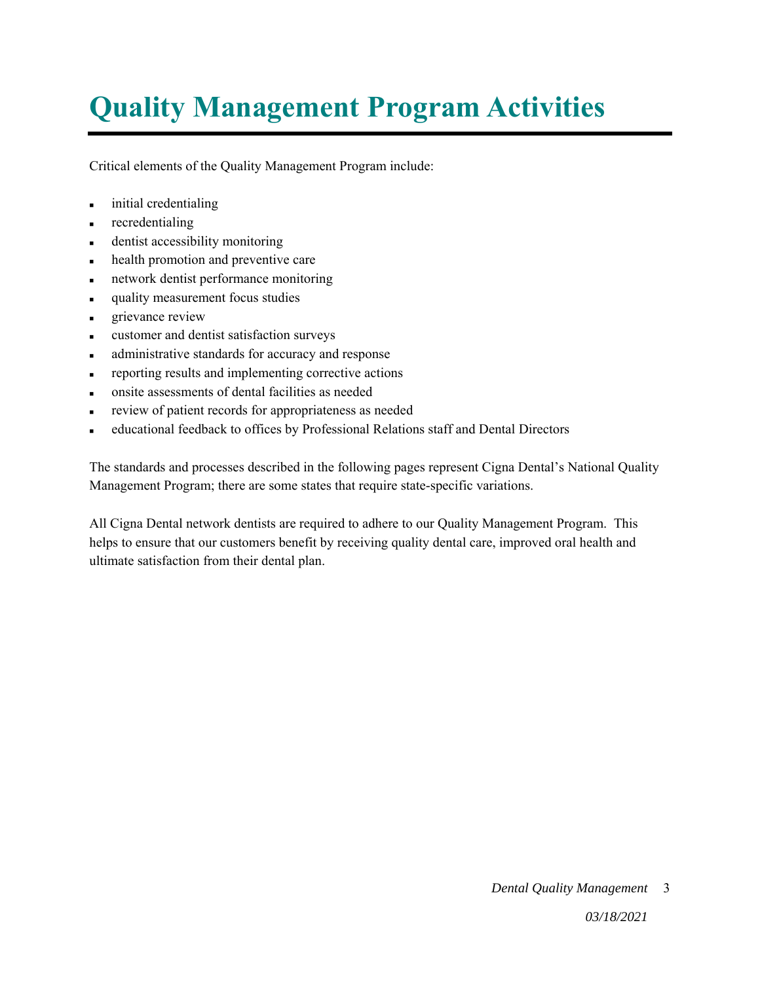## **Quality Management Program Activities**

Critical elements of the Quality Management Program include:

- initial credentialing
- recredentialing
- dentist accessibility monitoring
- health promotion and preventive care
- network dentist performance monitoring
- quality measurement focus studies
- grievance review
- customer and dentist satisfaction surveys
- administrative standards for accuracy and response
- reporting results and implementing corrective actions
- onsite assessments of dental facilities as needed
- review of patient records for appropriateness as needed
- educational feedback to offices by Professional Relations staff and Dental Directors

The standards and processes described in the following pages represent Cigna Dental's National Quality Management Program; there are some states that require state-specific variations.

All Cigna Dental network dentists are required to adhere to our Quality Management Program. This helps to ensure that our customers benefit by receiving quality dental care, improved oral health and ultimate satisfaction from their dental plan.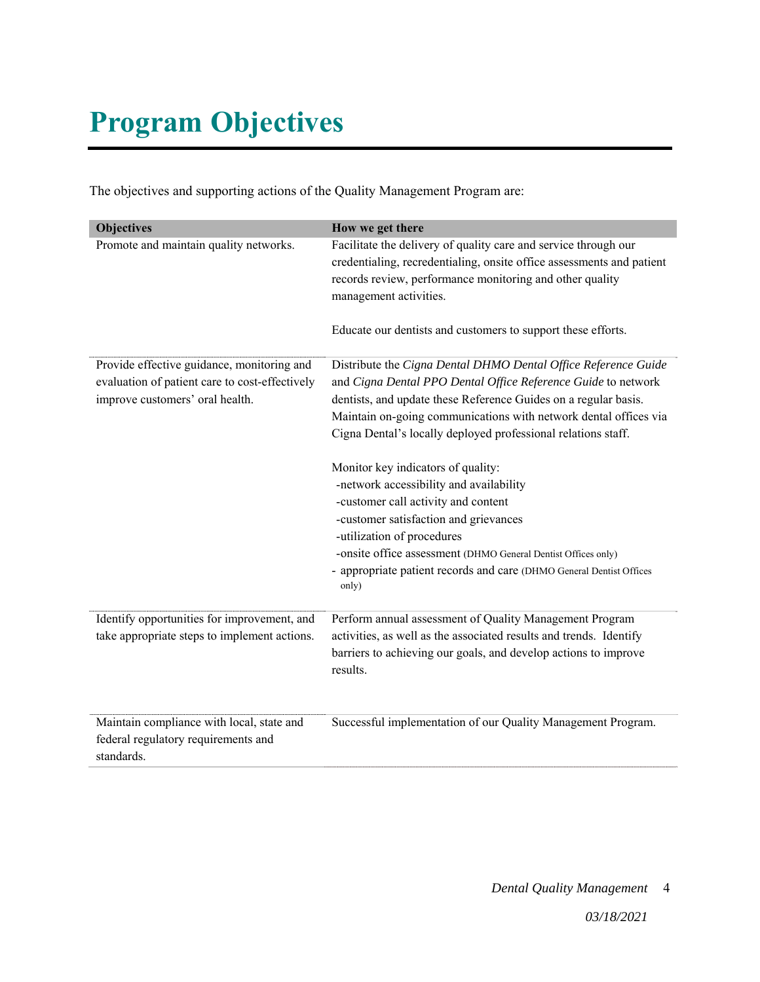# **Program Objectives**

The objectives and supporting actions of the Quality Management Program are:

| <b>Objectives</b><br>Promote and maintain quality networks.                                                                     | How we get there<br>Facilitate the delivery of quality care and service through our<br>credentialing, recredentialing, onsite office assessments and patient<br>records review, performance monitoring and other quality<br>management activities.<br>Educate our dentists and customers to support these efforts.                                                                                                                                                                                                                                                                                                                                                                       |
|---------------------------------------------------------------------------------------------------------------------------------|------------------------------------------------------------------------------------------------------------------------------------------------------------------------------------------------------------------------------------------------------------------------------------------------------------------------------------------------------------------------------------------------------------------------------------------------------------------------------------------------------------------------------------------------------------------------------------------------------------------------------------------------------------------------------------------|
| Provide effective guidance, monitoring and<br>evaluation of patient care to cost-effectively<br>improve customers' oral health. | Distribute the Cigna Dental DHMO Dental Office Reference Guide<br>and Cigna Dental PPO Dental Office Reference Guide to network<br>dentists, and update these Reference Guides on a regular basis.<br>Maintain on-going communications with network dental offices via<br>Cigna Dental's locally deployed professional relations staff.<br>Monitor key indicators of quality:<br>-network accessibility and availability<br>-customer call activity and content<br>-customer satisfaction and grievances<br>-utilization of procedures<br>-onsite office assessment (DHMO General Dentist Offices only)<br>- appropriate patient records and care (DHMO General Dentist Offices<br>only) |
| Identify opportunities for improvement, and<br>take appropriate steps to implement actions.                                     | Perform annual assessment of Quality Management Program<br>activities, as well as the associated results and trends. Identify<br>barriers to achieving our goals, and develop actions to improve<br>results.                                                                                                                                                                                                                                                                                                                                                                                                                                                                             |
| Maintain compliance with local, state and<br>federal regulatory requirements and<br>standards.                                  | Successful implementation of our Quality Management Program.                                                                                                                                                                                                                                                                                                                                                                                                                                                                                                                                                                                                                             |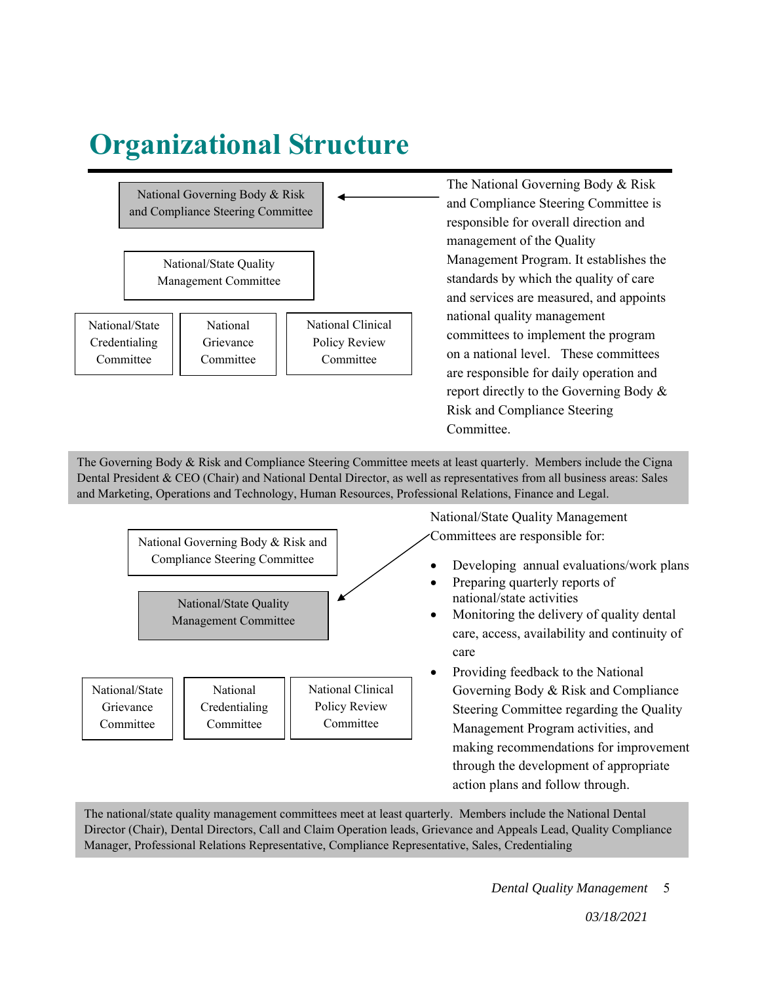## **Organizational Structure**



The national/state quality management committees meet at least quarterly. Members include the National Dental Director (Chair), Dental Directors, Call and Claim Operation leads, Grievance and Appeals Lead, Quality Compliance Manager, Professional Relations Representative, Compliance Representative, Sales, Credentialing

action plans and follow through.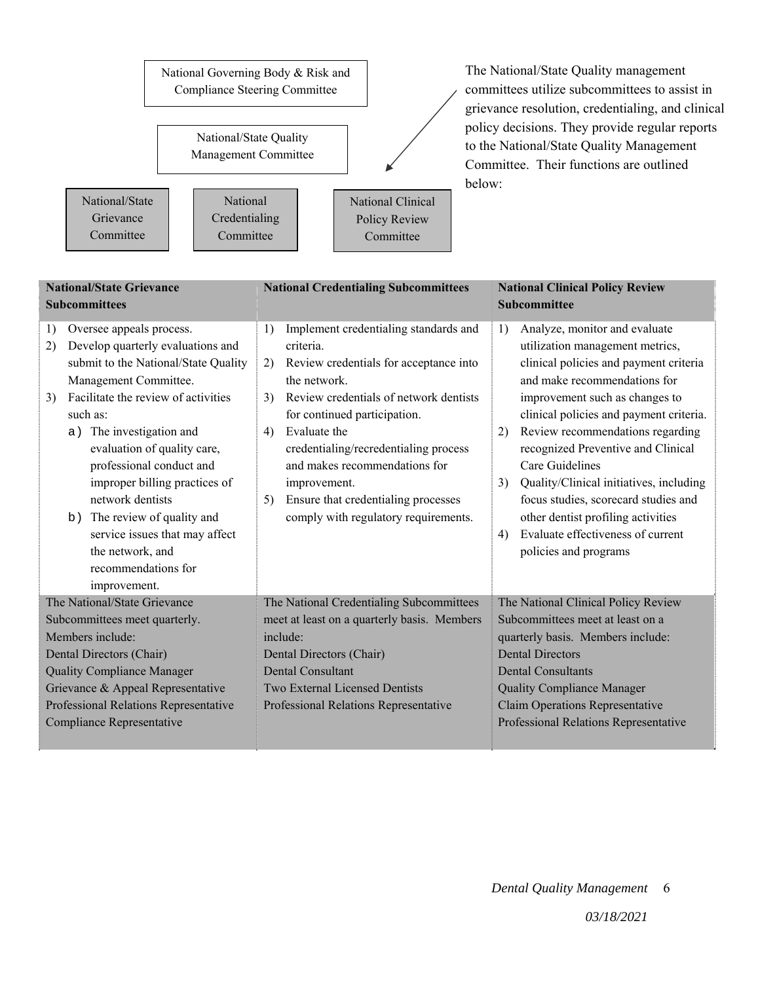

The National/State Quality management committees utilize subcommittees to assist in grievance resolution, credentialing, and clinical policy decisions. They provide regular reports to the National/State Quality Management Committee. Their functions are outlined below:

| <b>National/State Grievance</b>                                                                                                                                                                                                                                                                                                                                                                                                                                                    | <b>National Credentialing Subcommittees</b>                                                                                                                                                                                                                                                                                                                                                                   | <b>National Clinical Policy Review</b>                                                                                                                                                                                                                                                                                                                                                                                                                                                                                              |
|------------------------------------------------------------------------------------------------------------------------------------------------------------------------------------------------------------------------------------------------------------------------------------------------------------------------------------------------------------------------------------------------------------------------------------------------------------------------------------|---------------------------------------------------------------------------------------------------------------------------------------------------------------------------------------------------------------------------------------------------------------------------------------------------------------------------------------------------------------------------------------------------------------|-------------------------------------------------------------------------------------------------------------------------------------------------------------------------------------------------------------------------------------------------------------------------------------------------------------------------------------------------------------------------------------------------------------------------------------------------------------------------------------------------------------------------------------|
| <b>Subcommittees</b>                                                                                                                                                                                                                                                                                                                                                                                                                                                               |                                                                                                                                                                                                                                                                                                                                                                                                               | <b>Subcommittee</b>                                                                                                                                                                                                                                                                                                                                                                                                                                                                                                                 |
| Oversee appeals process.<br>1)<br>Develop quarterly evaluations and<br>2)<br>submit to the National/State Quality<br>Management Committee.<br>Facilitate the review of activities<br>3)<br>such as:<br>The investigation and<br>a)<br>evaluation of quality care,<br>professional conduct and<br>improper billing practices of<br>network dentists<br>The review of quality and<br>b)<br>service issues that may affect<br>the network, and<br>recommendations for<br>improvement. | Implement credentialing standards and<br>1)<br>criteria.<br>Review credentials for acceptance into<br>2)<br>the network.<br>Review credentials of network dentists<br>3)<br>for continued participation.<br>Evaluate the<br>4)<br>credentialing/recredentialing process<br>and makes recommendations for<br>improvement.<br>Ensure that credentialing processes<br>5)<br>comply with regulatory requirements. | Analyze, monitor and evaluate<br>1)<br>utilization management metrics,<br>clinical policies and payment criteria<br>and make recommendations for<br>improvement such as changes to<br>clinical policies and payment criteria.<br>Review recommendations regarding<br>2)<br>recognized Preventive and Clinical<br>Care Guidelines<br>Quality/Clinical initiatives, including<br>3)<br>focus studies, scorecard studies and<br>other dentist profiling activities<br>Evaluate effectiveness of current<br>4)<br>policies and programs |
| The National/State Grievance<br>Subcommittees meet quarterly.<br>Members include:<br>Dental Directors (Chair)<br><b>Quality Compliance Manager</b><br>Grievance & Appeal Representative<br>Professional Relations Representative<br>Compliance Representative                                                                                                                                                                                                                      | The National Credentialing Subcommittees<br>meet at least on a quarterly basis. Members<br>include:<br>Dental Directors (Chair)<br><b>Dental Consultant</b><br>Two External Licensed Dentists<br>Professional Relations Representative                                                                                                                                                                        | The National Clinical Policy Review<br>Subcommittees meet at least on a<br>quarterly basis. Members include:<br><b>Dental Directors</b><br><b>Dental Consultants</b><br><b>Quality Compliance Manager</b><br>Claim Operations Representative<br>Professional Relations Representative                                                                                                                                                                                                                                               |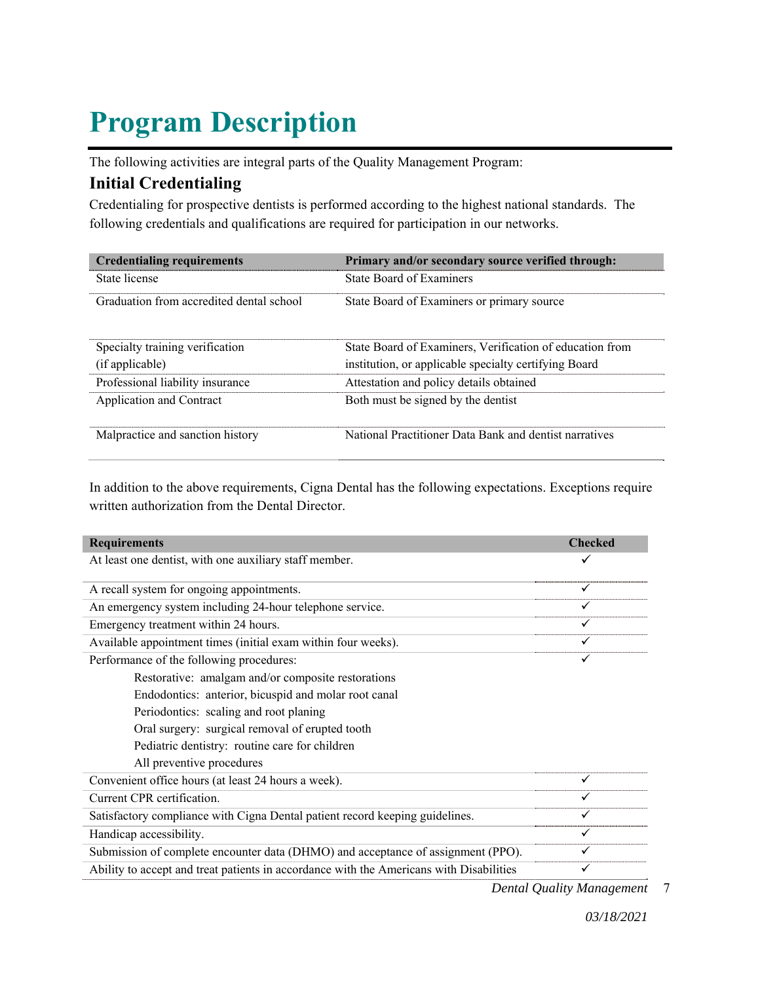# **Program Description**

The following activities are integral parts of the Quality Management Program:

## **Initial Credentialing**

Credentialing for prospective dentists is performed according to the highest national standards. The following credentials and qualifications are required for participation in our networks.

| <b>Credentialing requirements</b>        | Primary and/or secondary source verified through:        |
|------------------------------------------|----------------------------------------------------------|
| State license                            | <b>State Board of Examiners</b>                          |
| Graduation from accredited dental school | State Board of Examiners or primary source               |
| Specialty training verification          | State Board of Examiners, Verification of education from |
| (if applicable)                          | institution, or applicable specialty certifying Board    |
| Professional liability insurance         | Attestation and policy details obtained                  |
| Application and Contract                 | Both must be signed by the dentist                       |
| Malpractice and sanction history         | National Practitioner Data Bank and dentist narratives   |

In addition to the above requirements, Cigna Dental has the following expectations. Exceptions require written authorization from the Dental Director.

| <b>Requirements</b>                                                                     | <b>Checked</b> |
|-----------------------------------------------------------------------------------------|----------------|
| At least one dentist, with one auxiliary staff member.                                  | ✓              |
| A recall system for ongoing appointments.                                               |                |
| An emergency system including 24-hour telephone service.                                | ✓              |
| Emergency treatment within 24 hours.                                                    | ✓              |
| Available appointment times (initial exam within four weeks).                           | ✓              |
| Performance of the following procedures:                                                |                |
| Restorative: amalgam and/or composite restorations                                      |                |
| Endodontics: anterior, bicuspid and molar root canal                                    |                |
| Periodontics: scaling and root planing                                                  |                |
| Oral surgery: surgical removal of erupted tooth                                         |                |
| Pediatric dentistry: routine care for children                                          |                |
| All preventive procedures                                                               |                |
| Convenient office hours (at least 24 hours a week).                                     | ✓              |
| Current CPR certification.                                                              | ✓              |
| Satisfactory compliance with Cigna Dental patient record keeping guidelines.            |                |
| Handicap accessibility.                                                                 | ✓              |
| Submission of complete encounter data (DHMO) and acceptance of assignment (PPO).        |                |
| Ability to accept and treat patients in accordance with the Americans with Disabilities |                |

*Dental Quality Management*  7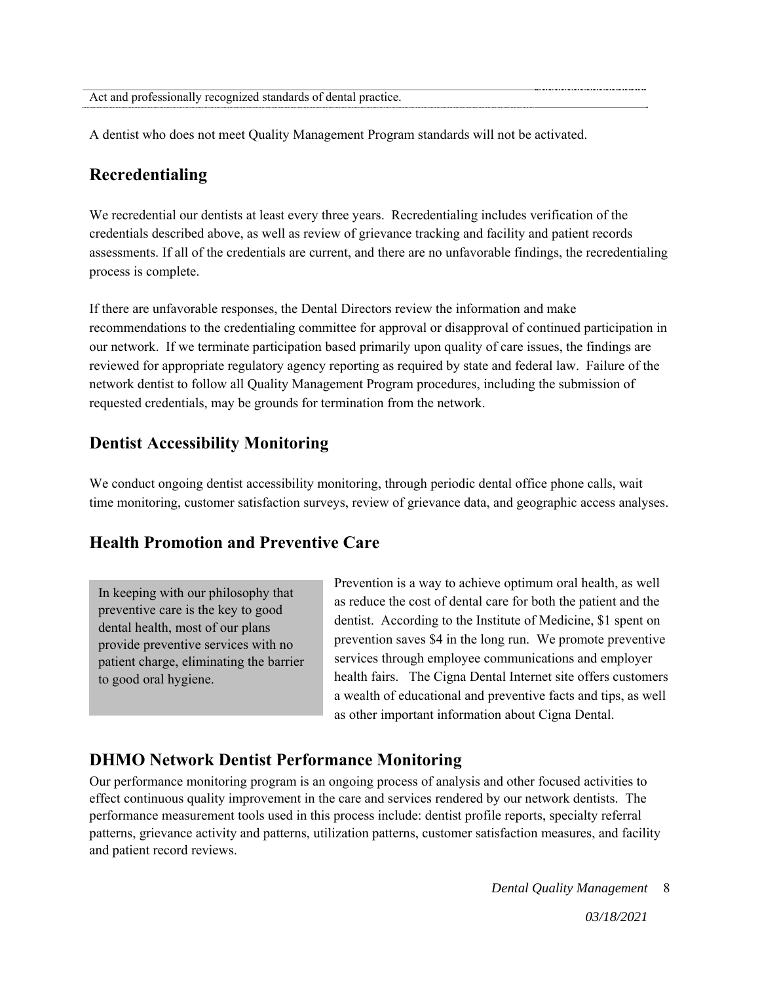A dentist who does not meet Quality Management Program standards will not be activated.

## **Recredentialing**

We recredential our dentists at least every three years. Recredentialing includes verification of the credentials described above, as well as review of grievance tracking and facility and patient records assessments. If all of the credentials are current, and there are no unfavorable findings, the recredentialing process is complete.

If there are unfavorable responses, the Dental Directors review the information and make recommendations to the credentialing committee for approval or disapproval of continued participation in our network. If we terminate participation based primarily upon quality of care issues, the findings are reviewed for appropriate regulatory agency reporting as required by state and federal law. Failure of the network dentist to follow all Quality Management Program procedures, including the submission of requested credentials, may be grounds for termination from the network.

### **Dentist Accessibility Monitoring**

We conduct ongoing dentist accessibility monitoring, through periodic dental office phone calls, wait time monitoring, customer satisfaction surveys, review of grievance data, and geographic access analyses.

## **Health Promotion and Preventive Care**

In keeping with our philosophy that preventive care is the key to good dental health, most of our plans provide preventive services with no patient charge, eliminating the barrier to good oral hygiene.

Prevention is a way to achieve optimum oral health, as well as reduce the cost of dental care for both the patient and the dentist. According to the Institute of Medicine, \$1 spent on prevention saves \$4 in the long run. We promote preventive services through employee communications and employer health fairs. The Cigna Dental Internet site offers customers a wealth of educational and preventive facts and tips, as well as other important information about Cigna Dental.

## **DHMO Network Dentist Performance Monitoring**

Our performance monitoring program is an ongoing process of analysis and other focused activities to effect continuous quality improvement in the care and services rendered by our network dentists. The performance measurement tools used in this process include: dentist profile reports, specialty referral patterns, grievance activity and patterns, utilization patterns, customer satisfaction measures, and facility and patient record reviews.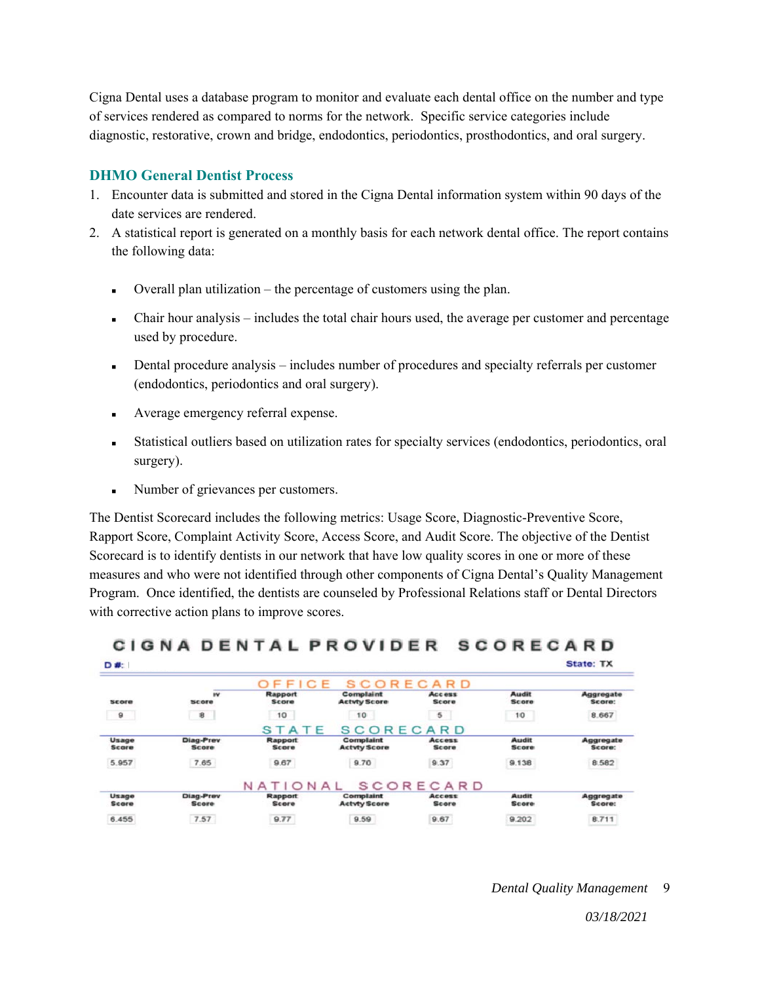Cigna Dental uses a database program to monitor and evaluate each dental office on the number and type of services rendered as compared to norms for the network. Specific service categories include diagnostic, restorative, crown and bridge, endodontics, periodontics, prosthodontics, and oral surgery.

#### **DHMO General Dentist Process**

- 1. Encounter data is submitted and stored in the Cigna Dental information system within 90 days of the date services are rendered.
- 2. A statistical report is generated on a monthly basis for each network dental office. The report contains the following data:
	- Overall plan utilization the percentage of customers using the plan.
	- $\blacksquare$  Chair hour analysis includes the total chair hours used, the average per customer and percentage used by procedure.
	- Dental procedure analysis includes number of procedures and specialty referrals per customer (endodontics, periodontics and oral surgery).
	- Average emergency referral expense.
	- Statistical outliers based on utilization rates for specialty services (endodontics, periodontics, oral surgery).
	- Number of grievances per customers.

CLONA BENTAL BROVIDER

The Dentist Scorecard includes the following metrics: Usage Score, Diagnostic-Preventive Score, Rapport Score, Complaint Activity Score, Access Score, and Audit Score. The objective of the Dentist Scorecard is to identify dentists in our network that have low quality scores in one or more of these measures and who were not identified through other components of Cigna Dental's Quality Management Program. Once identified, the dentists are counseled by Professional Relations staff or Dental Directors with corrective action plans to improve scores.

| <b>SCORECARD</b><br>ICE<br>F.F. |                           |                                |                                  |                               |                              |                     |  |
|---------------------------------|---------------------------|--------------------------------|----------------------------------|-------------------------------|------------------------------|---------------------|--|
| Score                           | w<br>Score                | <b>Rapport</b><br><b>Score</b> | Complaint<br><b>Actvty Score</b> | <b>Access</b><br><b>Score</b> | <b>Audit</b><br><b>Score</b> | Aggregate<br>Score: |  |
| a                               | 8                         | 10                             | 10                               | 5                             | 10                           | 8.667               |  |
|                                 |                           | STATE                          | <b>SCORECARD</b>                 |                               |                              |                     |  |
| Usage<br><b>Score</b>           | Diag-Prev<br>Score        | <b>Rapport</b><br><b>Score</b> | Complaint<br><b>Actvty Score</b> | <b>Access</b><br><b>Score</b> | <b>Audit</b><br><b>Score</b> | Aggregate<br>Score: |  |
| 5.957                           | 7.65                      | 9.67                           | 9.70                             | 9.37                          | 9.138                        | 8.582               |  |
|                                 |                           | N A<br>$\circ$                 | NAL                              | <b>SCORECARD</b>              |                              |                     |  |
| Usage<br><b>Score</b>           | Diag-Prev<br><b>Score</b> | <b>Rapport</b><br><b>Score</b> | Complaint<br><b>Actvty Score</b> | <b>Access</b><br><b>Score</b> | <b>Audit</b><br><b>Score</b> | Aggregate<br>Score: |  |
| 6.455                           | 7.57                      | 9.77                           | 9.59                             | 9.67                          | 9.202                        | 8.711               |  |

666556456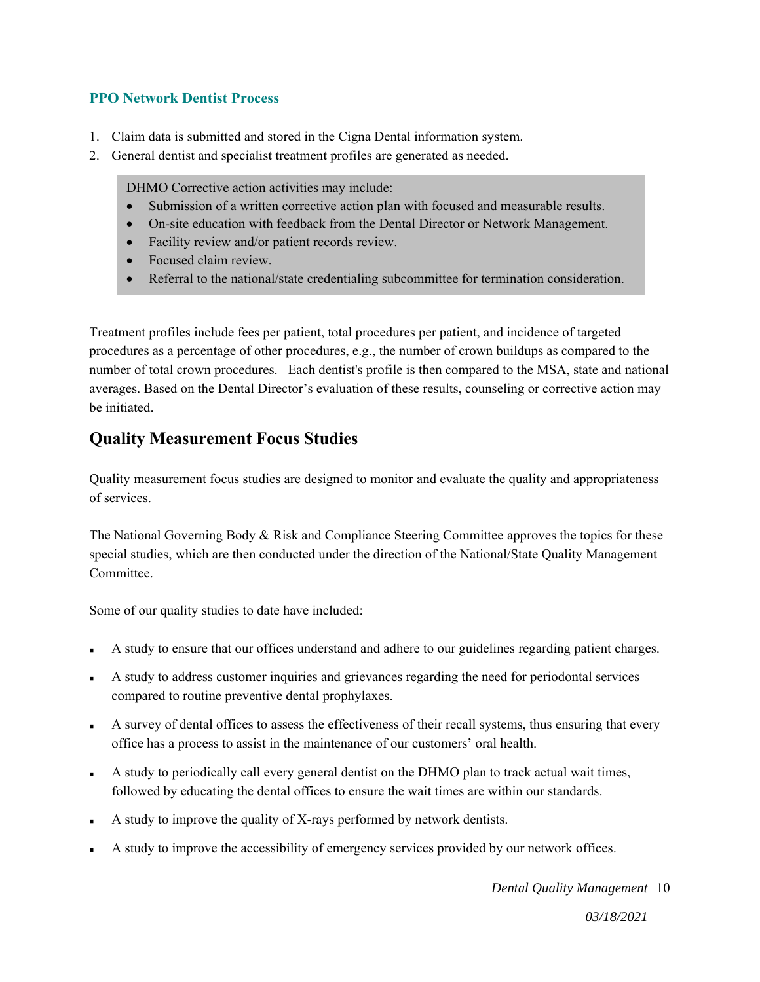#### **PPO Network Dentist Process**

- 1. Claim data is submitted and stored in the Cigna Dental information system.
- 2. General dentist and specialist treatment profiles are generated as needed.

DHMO Corrective action activities may include:

- Submission of a written corrective action plan with focused and measurable results.
- On-site education with feedback from the Dental Director or Network Management.
- Facility review and/or patient records review.
- Focused claim review.
- Referral to the national/state credentialing subcommittee for termination consideration.

Treatment profiles include fees per patient, total procedures per patient, and incidence of targeted procedures as a percentage of other procedures, e.g., the number of crown buildups as compared to the number of total crown procedures. Each dentist's profile is then compared to the MSA, state and national averages. Based on the Dental Director's evaluation of these results, counseling or corrective action may be initiated.

## **Quality Measurement Focus Studies**

Quality measurement focus studies are designed to monitor and evaluate the quality and appropriateness of services.

The National Governing Body & Risk and Compliance Steering Committee approves the topics for these special studies, which are then conducted under the direction of the National/State Quality Management Committee.

Some of our quality studies to date have included:

- A study to ensure that our offices understand and adhere to our guidelines regarding patient charges.
- A study to address customer inquiries and grievances regarding the need for periodontal services compared to routine preventive dental prophylaxes.
- A survey of dental offices to assess the effectiveness of their recall systems, thus ensuring that every office has a process to assist in the maintenance of our customers' oral health.
- A study to periodically call every general dentist on the DHMO plan to track actual wait times, followed by educating the dental offices to ensure the wait times are within our standards.
- A study to improve the quality of X-rays performed by network dentists.
- A study to improve the accessibility of emergency services provided by our network offices.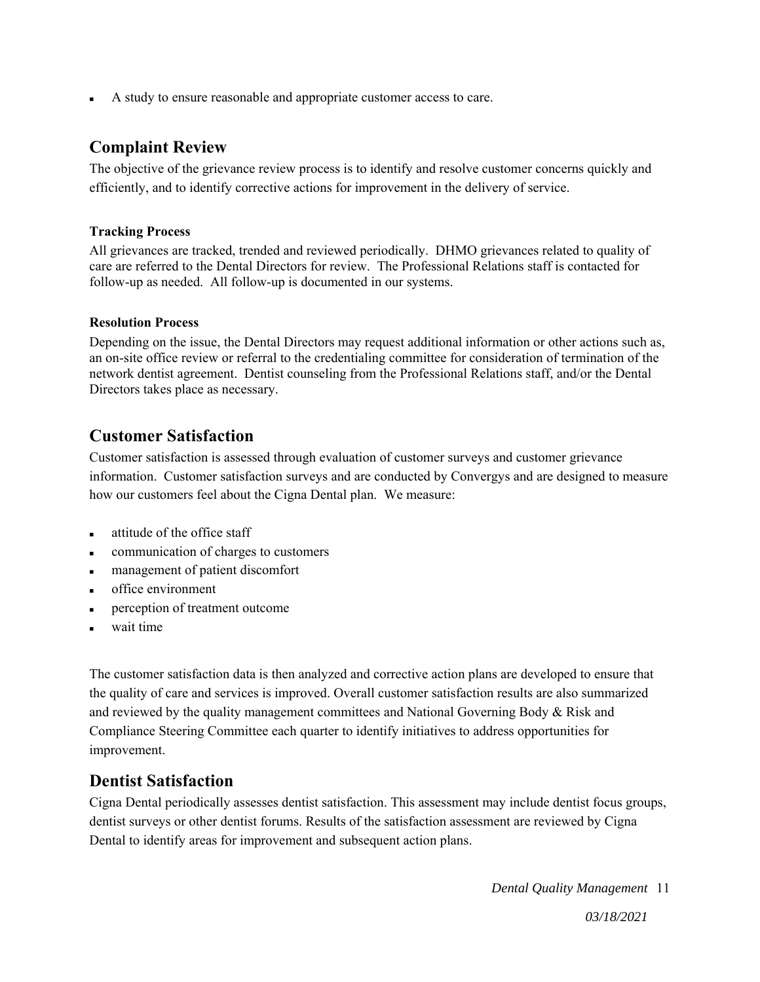A study to ensure reasonable and appropriate customer access to care.

### **Complaint Review**

The objective of the grievance review process is to identify and resolve customer concerns quickly and efficiently, and to identify corrective actions for improvement in the delivery of service.

#### **Tracking Process**

All grievances are tracked, trended and reviewed periodically. DHMO grievances related to quality of care are referred to the Dental Directors for review. The Professional Relations staff is contacted for follow-up as needed. All follow-up is documented in our systems.

#### **Resolution Process**

Depending on the issue, the Dental Directors may request additional information or other actions such as, an on-site office review or referral to the credentialing committee for consideration of termination of the network dentist agreement.Dentist counseling from the Professional Relations staff, and/or the Dental Directors takes place as necessary.

## **Customer Satisfaction**

Customer satisfaction is assessed through evaluation of customer surveys and customer grievance information. Customer satisfaction surveys and are conducted by Convergys and are designed to measure how our customers feel about the Cigna Dental plan. We measure:

- attitude of the office staff
- communication of charges to customers
- management of patient discomfort
- office environment
- perception of treatment outcome
- wait time

The customer satisfaction data is then analyzed and corrective action plans are developed to ensure that the quality of care and services is improved. Overall customer satisfaction results are also summarized and reviewed by the quality management committees and National Governing Body & Risk and Compliance Steering Committee each quarter to identify initiatives to address opportunities for improvement.

### **Dentist Satisfaction**

Cigna Dental periodically assesses dentist satisfaction. This assessment may include dentist focus groups, dentist surveys or other dentist forums. Results of the satisfaction assessment are reviewed by Cigna Dental to identify areas for improvement and subsequent action plans.

*Dental Quality Management*  11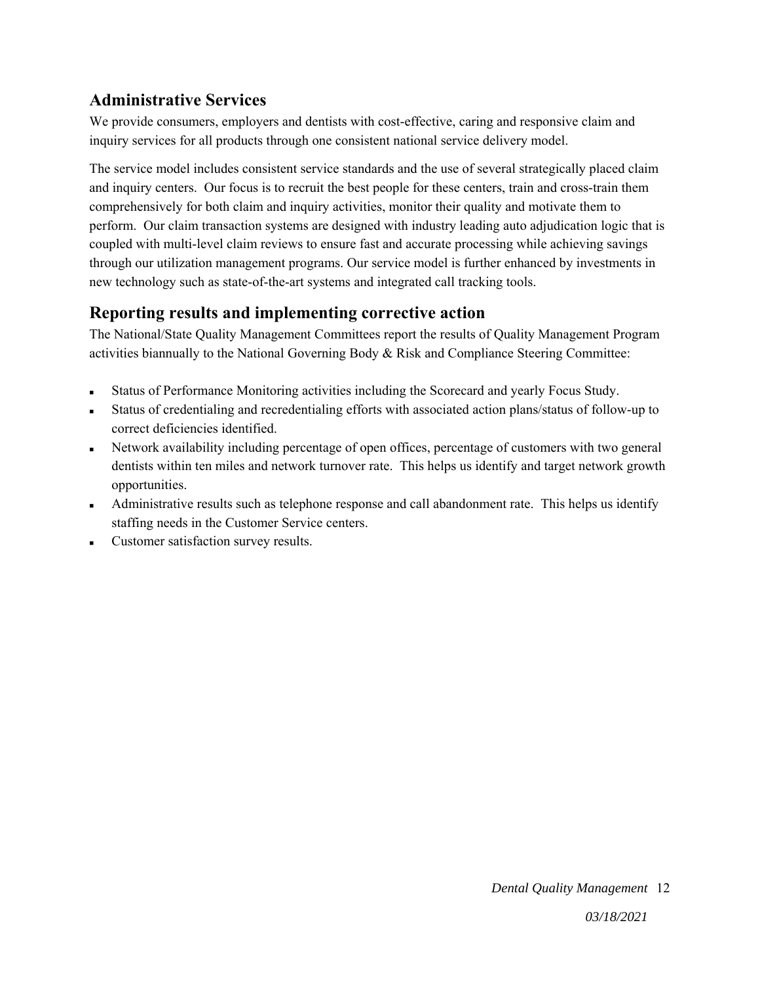## **Administrative Services**

We provide consumers, employers and dentists with cost-effective, caring and responsive claim and inquiry services for all products through one consistent national service delivery model.

The service model includes consistent service standards and the use of several strategically placed claim and inquiry centers. Our focus is to recruit the best people for these centers, train and cross-train them comprehensively for both claim and inquiry activities, monitor their quality and motivate them to perform. Our claim transaction systems are designed with industry leading auto adjudication logic that is coupled with multi-level claim reviews to ensure fast and accurate processing while achieving savings through our utilization management programs. Our service model is further enhanced by investments in new technology such as state-of-the-art systems and integrated call tracking tools.

## **Reporting results and implementing corrective action**

The National/State Quality Management Committees report the results of Quality Management Program activities biannually to the National Governing Body & Risk and Compliance Steering Committee:

- Status of Performance Monitoring activities including the Scorecard and yearly Focus Study.
- Status of credentialing and recredentialing efforts with associated action plans/status of follow-up to correct deficiencies identified.
- Network availability including percentage of open offices, percentage of customers with two general dentists within ten miles and network turnover rate. This helps us identify and target network growth opportunities.
- Administrative results such as telephone response and call abandonment rate. This helps us identify staffing needs in the Customer Service centers.
- Customer satisfaction survey results.